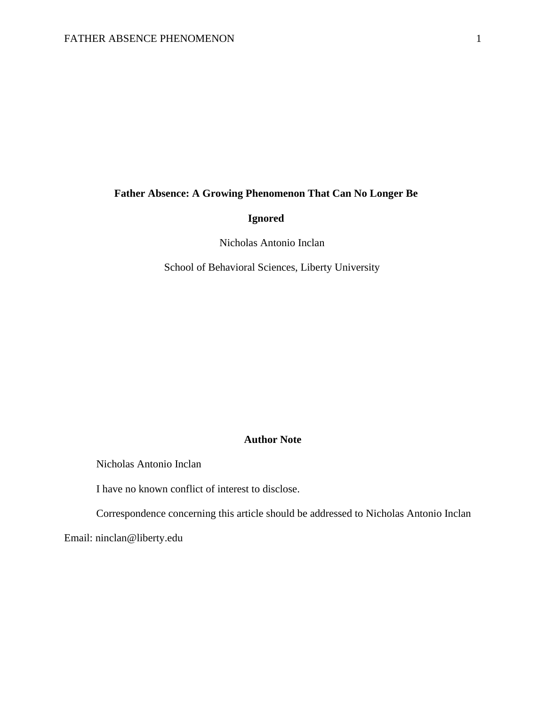# **Father Absence: A Growing Phenomenon That Can No Longer Be**

# **Ignored**

Nicholas Antonio Inclan

School of Behavioral Sciences, Liberty University

## **Author Note**

Nicholas Antonio Inclan

I have no known conflict of interest to disclose.

Correspondence concerning this article should be addressed to Nicholas Antonio Inclan

Email: ninclan@liberty.edu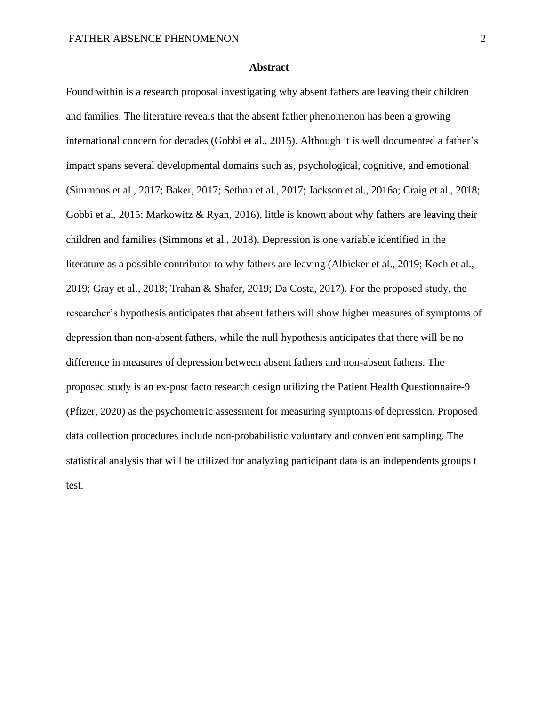## **Abstract**

Found within is a research proposal investigating why absent fathers are leaving their children and families. The literature reveals that the absent father phenomenon has been a growing international concern for decades (Gobbi et al., 2015). Although it is well documented a father's impact spans several developmental domains such as, psychological, cognitive, and emotional (Simmons et al., 2017; Baker, 2017; Sethna et al., 2017; Jackson et al., 2016a; Craig et al., 2018; Gobbi et al, 2015; Markowitz & Ryan, 2016), little is known about why fathers are leaving their children and families (Simmons et al., 2018). Depression is one variable identified in the literature as a possible contributor to why fathers are leaving (Albicker et al., 2019; Koch et al., 2019; Gray et al., 2018; Trahan & Shafer, 2019; Da Costa, 2017). For the proposed study, the researcher's hypothesis anticipates that absent fathers will show higher measures of symptoms of depression than non-absent fathers, while the null hypothesis anticipates that there will be no difference in measures of depression between absent fathers and non-absent fathers. The proposed study is an ex-post facto research design utilizing the Patient Health Questionnaire-9 (Pfizer, 2020) as the psychometric assessment for measuring symptoms of depression. Proposed data collection procedures include non-probabilistic voluntary and convenient sampling. The statistical analysis that will be utilized for analyzing participant data is an independents groups t test.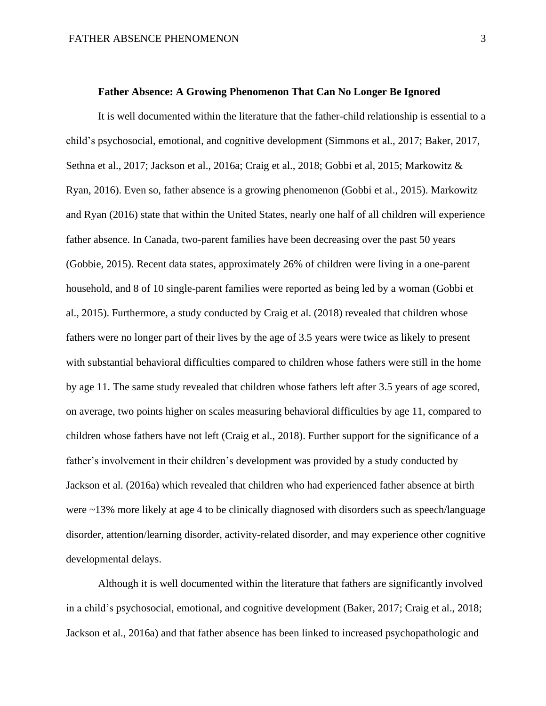#### **Father Absence: A Growing Phenomenon That Can No Longer Be Ignored**

It is well documented within the literature that the father-child relationship is essential to a child's psychosocial, emotional, and cognitive development (Simmons et al., 2017; Baker, 2017, Sethna et al., 2017; Jackson et al., 2016a; Craig et al., 2018; Gobbi et al, 2015; Markowitz & Ryan, 2016). Even so, father absence is a growing phenomenon (Gobbi et al., 2015). Markowitz and Ryan (2016) state that within the United States, nearly one half of all children will experience father absence. In Canada, two-parent families have been decreasing over the past 50 years (Gobbie, 2015). Recent data states, approximately 26% of children were living in a one-parent household, and 8 of 10 single-parent families were reported as being led by a woman (Gobbi et al., 2015). Furthermore, a study conducted by Craig et al. (2018) revealed that children whose fathers were no longer part of their lives by the age of 3.5 years were twice as likely to present with substantial behavioral difficulties compared to children whose fathers were still in the home by age 11. The same study revealed that children whose fathers left after 3.5 years of age scored, on average, two points higher on scales measuring behavioral difficulties by age 11, compared to children whose fathers have not left (Craig et al., 2018). Further support for the significance of a father's involvement in their children's development was provided by a study conducted by Jackson et al. (2016a) which revealed that children who had experienced father absence at birth were ~13% more likely at age 4 to be clinically diagnosed with disorders such as speech/language disorder, attention/learning disorder, activity-related disorder, and may experience other cognitive developmental delays.

Although it is well documented within the literature that fathers are significantly involved in a child's psychosocial, emotional, and cognitive development (Baker, 2017; Craig et al., 2018; Jackson et al., 2016a) and that father absence has been linked to increased psychopathologic and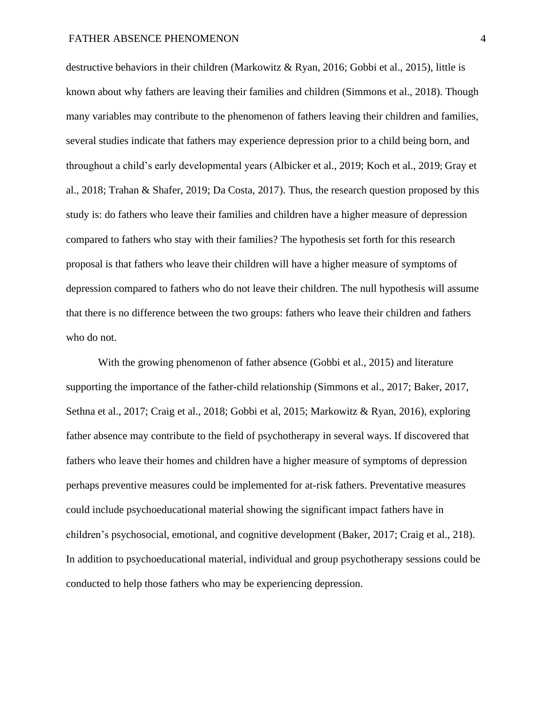## FATHER ABSENCE PHENOMENON 4

destructive behaviors in their children (Markowitz & Ryan, 2016; Gobbi et al., 2015), little is known about why fathers are leaving their families and children (Simmons et al., 2018). Though many variables may contribute to the phenomenon of fathers leaving their children and families, several studies indicate that fathers may experience depression prior to a child being born, and throughout a child's early developmental years (Albicker et al., 2019; Koch et al., 2019; Gray et al., 2018; Trahan & Shafer, 2019; Da Costa, 2017). Thus, the research question proposed by this study is: do fathers who leave their families and children have a higher measure of depression compared to fathers who stay with their families? The hypothesis set forth for this research proposal is that fathers who leave their children will have a higher measure of symptoms of depression compared to fathers who do not leave their children. The null hypothesis will assume that there is no difference between the two groups: fathers who leave their children and fathers who do not.

With the growing phenomenon of father absence (Gobbi et al., 2015) and literature supporting the importance of the father-child relationship (Simmons et al., 2017; Baker, 2017, Sethna et al., 2017; Craig et al., 2018; Gobbi et al, 2015; Markowitz & Ryan, 2016), exploring father absence may contribute to the field of psychotherapy in several ways. If discovered that fathers who leave their homes and children have a higher measure of symptoms of depression perhaps preventive measures could be implemented for at-risk fathers. Preventative measures could include psychoeducational material showing the significant impact fathers have in children's psychosocial, emotional, and cognitive development (Baker, 2017; Craig et al., 218). In addition to psychoeducational material, individual and group psychotherapy sessions could be conducted to help those fathers who may be experiencing depression.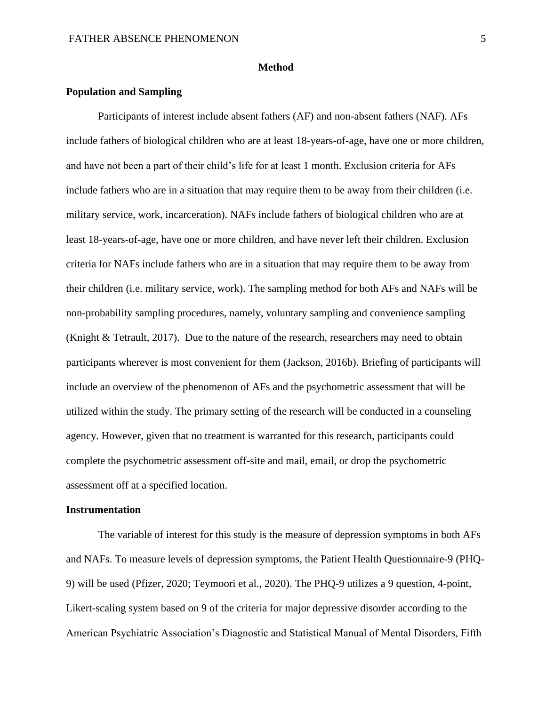#### **Method**

#### **Population and Sampling**

Participants of interest include absent fathers (AF) and non-absent fathers (NAF). AFs include fathers of biological children who are at least 18-years-of-age, have one or more children, and have not been a part of their child's life for at least 1 month. Exclusion criteria for AFs include fathers who are in a situation that may require them to be away from their children (i.e. military service, work, incarceration). NAFs include fathers of biological children who are at least 18-years-of-age, have one or more children, and have never left their children. Exclusion criteria for NAFs include fathers who are in a situation that may require them to be away from their children (i.e. military service, work). The sampling method for both AFs and NAFs will be non-probability sampling procedures, namely, voluntary sampling and convenience sampling (Knight & Tetrault, 2017). Due to the nature of the research, researchers may need to obtain participants wherever is most convenient for them (Jackson, 2016b). Briefing of participants will include an overview of the phenomenon of AFs and the psychometric assessment that will be utilized within the study. The primary setting of the research will be conducted in a counseling agency. However, given that no treatment is warranted for this research, participants could complete the psychometric assessment off-site and mail, email, or drop the psychometric assessment off at a specified location.

## **Instrumentation**

The variable of interest for this study is the measure of depression symptoms in both AFs and NAFs. To measure levels of depression symptoms, the Patient Health Questionnaire-9 (PHQ-9) will be used (Pfizer, 2020; Teymoori et al., 2020). The PHQ-9 utilizes a 9 question, 4-point, Likert-scaling system based on 9 of the criteria for major depressive disorder according to the American Psychiatric Association's Diagnostic and Statistical Manual of Mental Disorders, Fifth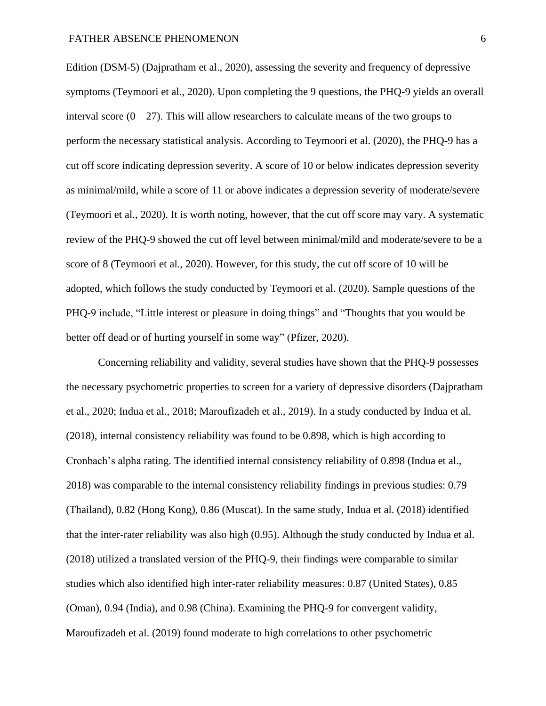Edition (DSM-5) (Dajpratham et al., 2020), assessing the severity and frequency of depressive symptoms (Teymoori et al., 2020). Upon completing the 9 questions, the PHQ-9 yields an overall interval score  $(0 - 27)$ . This will allow researchers to calculate means of the two groups to perform the necessary statistical analysis. According to Teymoori et al. (2020), the PHQ-9 has a cut off score indicating depression severity. A score of 10 or below indicates depression severity as minimal/mild, while a score of 11 or above indicates a depression severity of moderate/severe (Teymoori et al., 2020). It is worth noting, however, that the cut off score may vary. A systematic review of the PHQ-9 showed the cut off level between minimal/mild and moderate/severe to be a score of 8 (Teymoori et al., 2020). However, for this study, the cut off score of 10 will be adopted, which follows the study conducted by Teymoori et al. (2020). Sample questions of the PHQ-9 include, "Little interest or pleasure in doing things" and "Thoughts that you would be better off dead or of hurting yourself in some way" (Pfizer, 2020).

Concerning reliability and validity, several studies have shown that the PHQ-9 possesses the necessary psychometric properties to screen for a variety of depressive disorders (Dajpratham et al., 2020; Indua et al., 2018; Maroufizadeh et al., 2019). In a study conducted by Indua et al. (2018), internal consistency reliability was found to be 0.898, which is high according to Cronbach's alpha rating. The identified internal consistency reliability of 0.898 (Indua et al., 2018) was comparable to the internal consistency reliability findings in previous studies: 0.79 (Thailand), 0.82 (Hong Kong), 0.86 (Muscat). In the same study, Indua et al. (2018) identified that the inter-rater reliability was also high (0.95). Although the study conducted by Indua et al. (2018) utilized a translated version of the PHQ-9, their findings were comparable to similar studies which also identified high inter-rater reliability measures: 0.87 (United States), 0.85 (Oman), 0.94 (India), and 0.98 (China). Examining the PHQ-9 for convergent validity, Maroufizadeh et al. (2019) found moderate to high correlations to other psychometric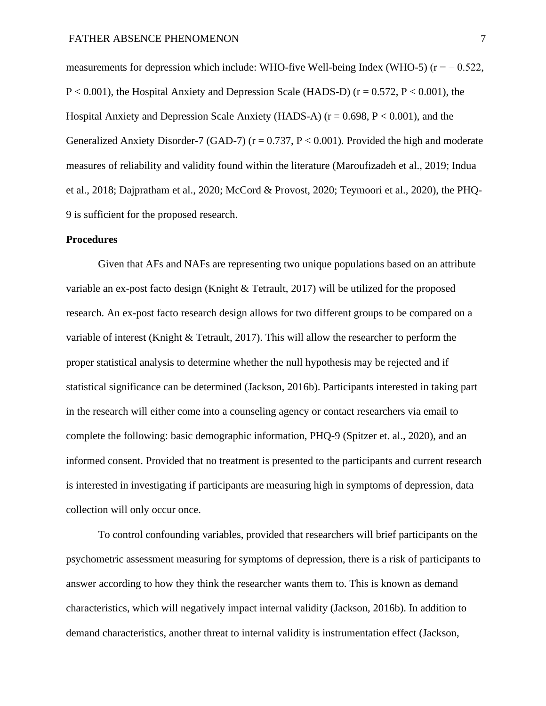measurements for depression which include: WHO-five Well-being Index (WHO-5) ( $r = -0.522$ ,  $P < 0.001$ ), the Hospital Anxiety and Depression Scale (HADS-D) ( $r = 0.572$ ,  $P < 0.001$ ), the Hospital Anxiety and Depression Scale Anxiety (HADS-A) ( $r = 0.698$ ,  $P < 0.001$ ), and the Generalized Anxiety Disorder-7 (GAD-7) ( $r = 0.737$ ,  $P < 0.001$ ). Provided the high and moderate measures of reliability and validity found within the literature (Maroufizadeh et al., 2019; Indua et al., 2018; Dajpratham et al., 2020; McCord & Provost, 2020; Teymoori et al., 2020), the PHQ-9 is sufficient for the proposed research.

### **Procedures**

Given that AFs and NAFs are representing two unique populations based on an attribute variable an ex-post facto design (Knight & Tetrault, 2017) will be utilized for the proposed research. An ex-post facto research design allows for two different groups to be compared on a variable of interest (Knight & Tetrault, 2017). This will allow the researcher to perform the proper statistical analysis to determine whether the null hypothesis may be rejected and if statistical significance can be determined (Jackson, 2016b). Participants interested in taking part in the research will either come into a counseling agency or contact researchers via email to complete the following: basic demographic information, PHQ-9 (Spitzer et. al., 2020), and an informed consent. Provided that no treatment is presented to the participants and current research is interested in investigating if participants are measuring high in symptoms of depression, data collection will only occur once.

To control confounding variables, provided that researchers will brief participants on the psychometric assessment measuring for symptoms of depression, there is a risk of participants to answer according to how they think the researcher wants them to. This is known as demand characteristics, which will negatively impact internal validity (Jackson, 2016b). In addition to demand characteristics, another threat to internal validity is instrumentation effect (Jackson,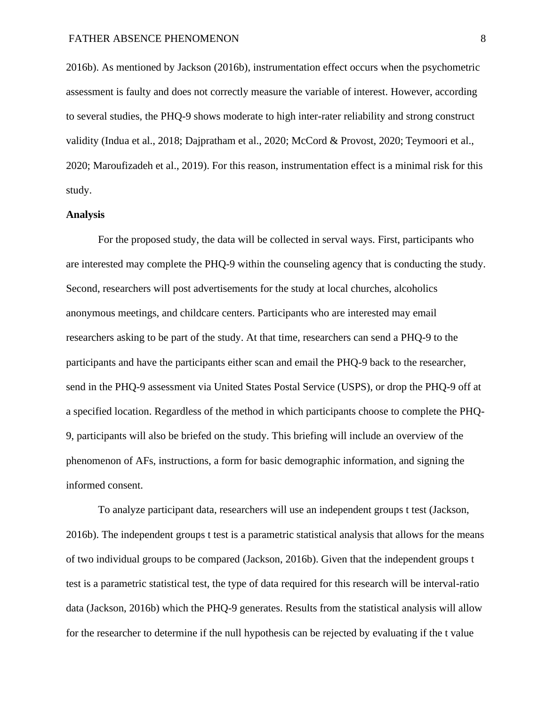2016b). As mentioned by Jackson (2016b), instrumentation effect occurs when the psychometric assessment is faulty and does not correctly measure the variable of interest. However, according to several studies, the PHQ-9 shows moderate to high inter-rater reliability and strong construct validity (Indua et al., 2018; Dajpratham et al., 2020; McCord & Provost, 2020; Teymoori et al., 2020; Maroufizadeh et al., 2019). For this reason, instrumentation effect is a minimal risk for this study.

## **Analysis**

For the proposed study, the data will be collected in serval ways. First, participants who are interested may complete the PHQ-9 within the counseling agency that is conducting the study. Second, researchers will post advertisements for the study at local churches, alcoholics anonymous meetings, and childcare centers. Participants who are interested may email researchers asking to be part of the study. At that time, researchers can send a PHQ-9 to the participants and have the participants either scan and email the PHQ-9 back to the researcher, send in the PHQ-9 assessment via United States Postal Service (USPS), or drop the PHQ-9 off at a specified location. Regardless of the method in which participants choose to complete the PHQ-9, participants will also be briefed on the study. This briefing will include an overview of the phenomenon of AFs, instructions, a form for basic demographic information, and signing the informed consent.

To analyze participant data, researchers will use an independent groups t test (Jackson, 2016b). The independent groups t test is a parametric statistical analysis that allows for the means of two individual groups to be compared (Jackson, 2016b). Given that the independent groups t test is a parametric statistical test, the type of data required for this research will be interval-ratio data (Jackson, 2016b) which the PHQ-9 generates. Results from the statistical analysis will allow for the researcher to determine if the null hypothesis can be rejected by evaluating if the t value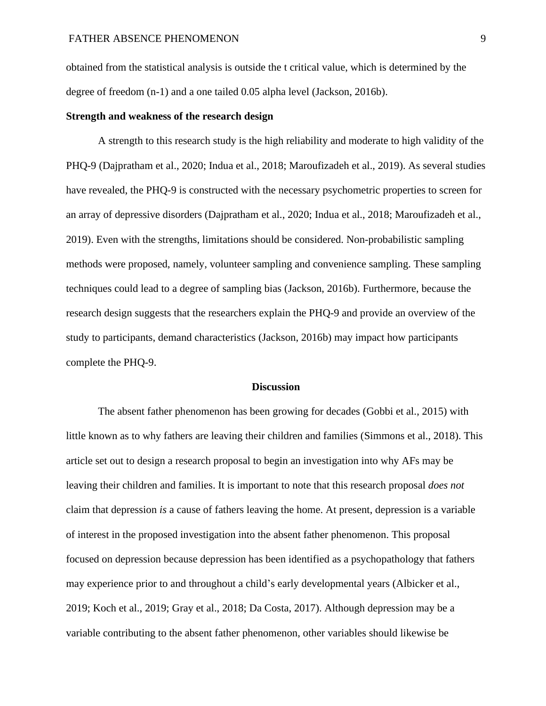obtained from the statistical analysis is outside the t critical value, which is determined by the degree of freedom (n-1) and a one tailed 0.05 alpha level (Jackson, 2016b).

## **Strength and weakness of the research design**

A strength to this research study is the high reliability and moderate to high validity of the PHQ-9 (Dajpratham et al., 2020; Indua et al., 2018; Maroufizadeh et al., 2019). As several studies have revealed, the PHQ-9 is constructed with the necessary psychometric properties to screen for an array of depressive disorders (Dajpratham et al., 2020; Indua et al., 2018; Maroufizadeh et al., 2019). Even with the strengths, limitations should be considered. Non-probabilistic sampling methods were proposed, namely, volunteer sampling and convenience sampling. These sampling techniques could lead to a degree of sampling bias (Jackson, 2016b). Furthermore, because the research design suggests that the researchers explain the PHQ-9 and provide an overview of the study to participants, demand characteristics (Jackson, 2016b) may impact how participants complete the PHQ-9.

## **Discussion**

The absent father phenomenon has been growing for decades (Gobbi et al., 2015) with little known as to why fathers are leaving their children and families (Simmons et al., 2018). This article set out to design a research proposal to begin an investigation into why AFs may be leaving their children and families. It is important to note that this research proposal *does not* claim that depression *is* a cause of fathers leaving the home. At present, depression is a variable of interest in the proposed investigation into the absent father phenomenon. This proposal focused on depression because depression has been identified as a psychopathology that fathers may experience prior to and throughout a child's early developmental years (Albicker et al., 2019; Koch et al., 2019; Gray et al., 2018; Da Costa, 2017). Although depression may be a variable contributing to the absent father phenomenon, other variables should likewise be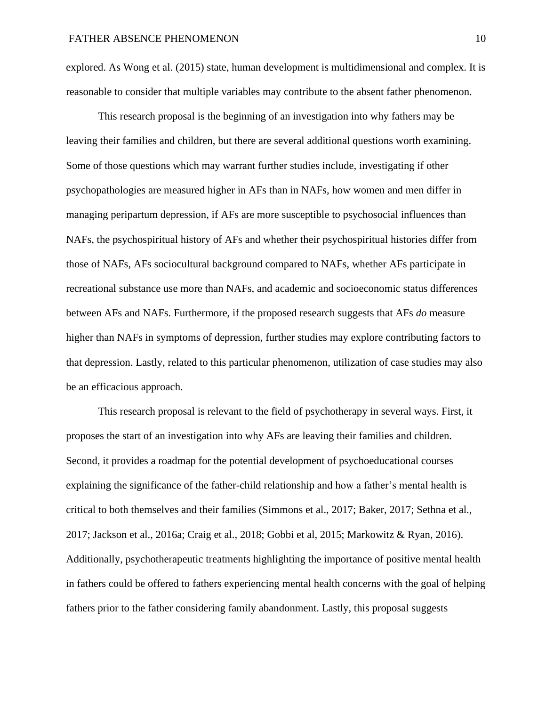explored. As Wong et al. (2015) state, human development is multidimensional and complex. It is reasonable to consider that multiple variables may contribute to the absent father phenomenon.

This research proposal is the beginning of an investigation into why fathers may be leaving their families and children, but there are several additional questions worth examining. Some of those questions which may warrant further studies include, investigating if other psychopathologies are measured higher in AFs than in NAFs, how women and men differ in managing peripartum depression, if AFs are more susceptible to psychosocial influences than NAFs, the psychospiritual history of AFs and whether their psychospiritual histories differ from those of NAFs, AFs sociocultural background compared to NAFs, whether AFs participate in recreational substance use more than NAFs, and academic and socioeconomic status differences between AFs and NAFs. Furthermore, if the proposed research suggests that AFs *do* measure higher than NAFs in symptoms of depression, further studies may explore contributing factors to that depression. Lastly, related to this particular phenomenon, utilization of case studies may also be an efficacious approach.

This research proposal is relevant to the field of psychotherapy in several ways. First, it proposes the start of an investigation into why AFs are leaving their families and children. Second, it provides a roadmap for the potential development of psychoeducational courses explaining the significance of the father-child relationship and how a father's mental health is critical to both themselves and their families (Simmons et al., 2017; Baker, 2017; Sethna et al., 2017; Jackson et al., 2016a; Craig et al., 2018; Gobbi et al, 2015; Markowitz & Ryan, 2016). Additionally, psychotherapeutic treatments highlighting the importance of positive mental health in fathers could be offered to fathers experiencing mental health concerns with the goal of helping fathers prior to the father considering family abandonment. Lastly, this proposal suggests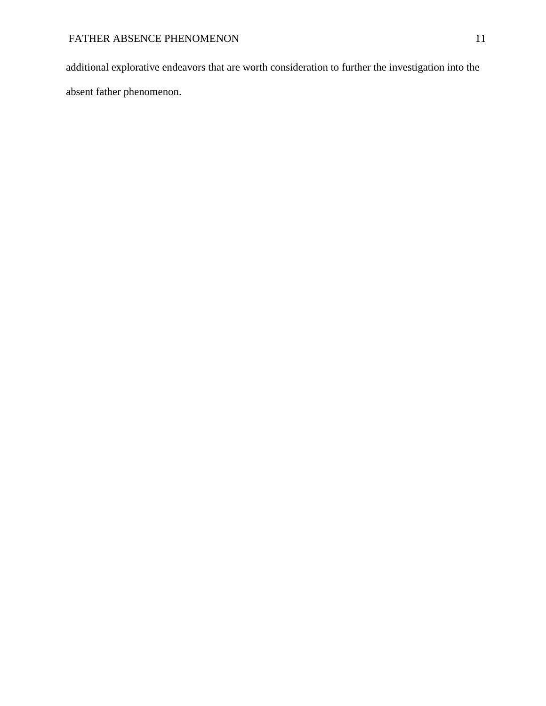additional explorative endeavors that are worth consideration to further the investigation into the absent father phenomenon.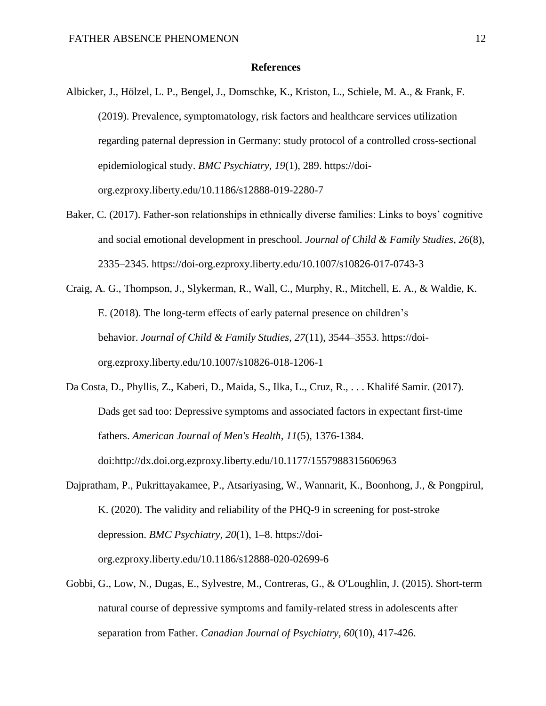## **References**

- Albicker, J., Hölzel, L. P., Bengel, J., Domschke, K., Kriston, L., Schiele, M. A., & Frank, F. (2019). Prevalence, symptomatology, risk factors and healthcare services utilization regarding paternal depression in Germany: study protocol of a controlled cross-sectional epidemiological study. *BMC Psychiatry*, *19*(1), 289. https://doiorg.ezproxy.liberty.edu/10.1186/s12888-019-2280-7
- Baker, C. (2017). Father-son relationships in ethnically diverse families: Links to boys' cognitive and social emotional development in preschool. *Journal of Child & Family Studies*, *26*(8), 2335–2345. https://doi-org.ezproxy.liberty.edu/10.1007/s10826-017-0743-3
- Craig, A. G., Thompson, J., Slykerman, R., Wall, C., Murphy, R., Mitchell, E. A., & Waldie, K. E. (2018). The long-term effects of early paternal presence on children's behavior. *Journal of Child & Family Studies*, *27*(11), 3544–3553. https://doiorg.ezproxy.liberty.edu/10.1007/s10826-018-1206-1
- Da Costa, D., Phyllis, Z., Kaberi, D., Maida, S., Ilka, L., Cruz, R., . . . Khalifé Samir. (2017). Dads get sad too: Depressive symptoms and associated factors in expectant first-time fathers. *American Journal of Men's Health, 11*(5), 1376-1384. doi:http://dx.doi.org.ezproxy.liberty.edu/10.1177/1557988315606963
- Dajpratham, P., Pukrittayakamee, P., Atsariyasing, W., Wannarit, K., Boonhong, J., & Pongpirul, K. (2020). The validity and reliability of the PHQ-9 in screening for post-stroke depression. *BMC Psychiatry*, *20*(1), 1–8. https://doiorg.ezproxy.liberty.edu/10.1186/s12888-020-02699-6
- Gobbi, G., Low, N., Dugas, E., Sylvestre, M., Contreras, G., & O'Loughlin, J. (2015). Short-term natural course of depressive symptoms and family-related stress in adolescents after separation from Father. *Canadian Journal of Psychiatry, 60*(10), 417-426.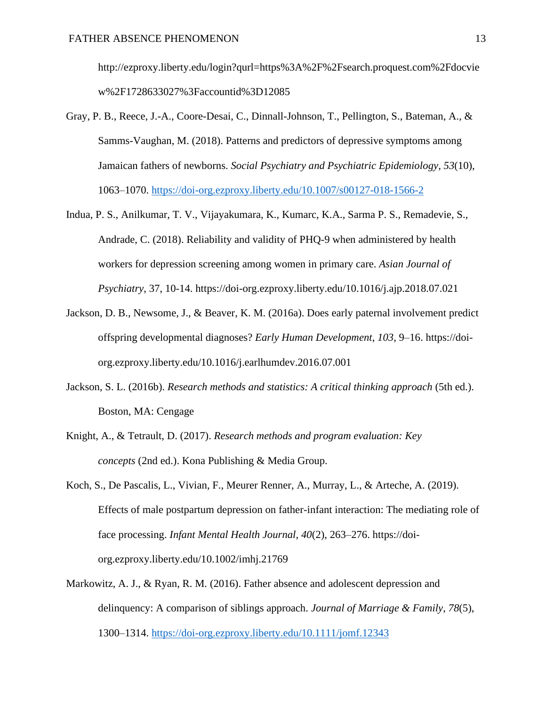http://ezproxy.liberty.edu/login?qurl=https%3A%2F%2Fsearch.proquest.com%2Fdocvie w%2F1728633027%3Faccountid%3D12085

- Gray, P. B., Reece, J.-A., Coore-Desai, C., Dinnall-Johnson, T., Pellington, S., Bateman, A., & Samms-Vaughan, M. (2018). Patterns and predictors of depressive symptoms among Jamaican fathers of newborns. *Social Psychiatry and Psychiatric Epidemiology*, *53*(10), 1063–1070.<https://doi-org.ezproxy.liberty.edu/10.1007/s00127-018-1566-2>
- Indua, P. S., Anilkumar, T. V., Vijayakumara, K., Kumarc, K.A., Sarma P. S., Remadevie, S., Andrade, C. (2018). Reliability and validity of PHQ-9 when administered by health workers for depression screening among women in primary care. *Asian Journal of Psychiatry*, 37, 10-14. https://doi-org.ezproxy.liberty.edu/10.1016/j.ajp.2018.07.021
- Jackson, D. B., Newsome, J., & Beaver, K. M. (2016a). Does early paternal involvement predict offspring developmental diagnoses? *Early Human Development*, *103*, 9–16. https://doiorg.ezproxy.liberty.edu/10.1016/j.earlhumdev.2016.07.001
- Jackson, S. L. (2016b). *Research methods and statistics: A critical thinking approach* (5th ed.). Boston, MA: Cengage
- Knight, A., & Tetrault, D. (2017). *Research methods and program evaluation: Key concepts* (2nd ed.). Kona Publishing & Media Group.
- Koch, S., De Pascalis, L., Vivian, F., Meurer Renner, A., Murray, L., & Arteche, A. (2019). Effects of male postpartum depression on father-infant interaction: The mediating role of face processing. *Infant Mental Health Journal*, *40*(2), 263–276. https://doiorg.ezproxy.liberty.edu/10.1002/imhj.21769
- Markowitz, A. J., & Ryan, R. M. (2016). Father absence and adolescent depression and delinquency: A comparison of siblings approach. *Journal of Marriage & Family*, *78*(5), 1300–1314.<https://doi-org.ezproxy.liberty.edu/10.1111/jomf.12343>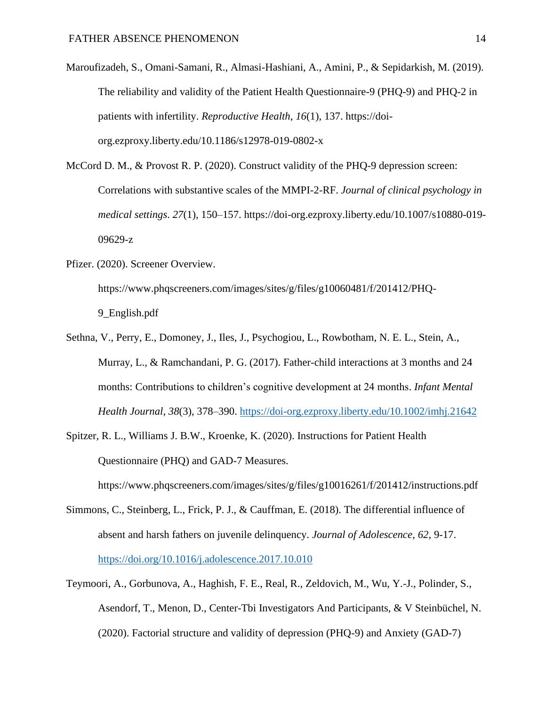Maroufizadeh, S., Omani-Samani, R., Almasi-Hashiani, A., Amini, P., & Sepidarkish, M. (2019). The reliability and validity of the Patient Health Questionnaire-9 (PHQ-9) and PHQ-2 in patients with infertility. *Reproductive Health*, *16*(1), 137. https://doiorg.ezproxy.liberty.edu/10.1186/s12978-019-0802-x

McCord D. M., & Provost R. P. (2020). Construct validity of the PHQ-9 depression screen: Correlations with substantive scales of the MMPI-2-RF. *Journal of clinical psychology in medical settings*. *27*(1), 150–157. https://doi-org.ezproxy.liberty.edu/10.1007/s10880-019- 09629-z

Pfizer. (2020). Screener Overview.

https://www.phqscreeners.com/images/sites/g/files/g10060481/f/201412/PHQ-

9\_English.pdf

- Sethna, V., Perry, E., Domoney, J., Iles, J., Psychogiou, L., Rowbotham, N. E. L., Stein, A., Murray, L., & Ramchandani, P. G. (2017). Father-child interactions at 3 months and 24 months: Contributions to children's cognitive development at 24 months. *Infant Mental Health Journal*, *38*(3), 378–390.<https://doi-org.ezproxy.liberty.edu/10.1002/imhj.21642>
- Spitzer, R. L., Williams J. B.W., Kroenke, K. (2020). Instructions for Patient Health Questionnaire (PHQ) and GAD-7 Measures.

https://www.phqscreeners.com/images/sites/g/files/g10016261/f/201412/instructions.pdf

- Simmons, C., Steinberg, L., Frick, P. J., & Cauffman, E. (2018). The differential influence of absent and harsh fathers on juvenile delinquency. *Journal of Adolescence*, *62*, 9-17. <https://doi.org/10.1016/j.adolescence.2017.10.010>
- Teymoori, A., Gorbunova, A., Haghish, F. E., Real, R., Zeldovich, M., Wu, Y.-J., Polinder, S., Asendorf, T., Menon, D., Center-Tbi Investigators And Participants, & V Steinbüchel, N. (2020). Factorial structure and validity of depression (PHQ-9) and Anxiety (GAD-7)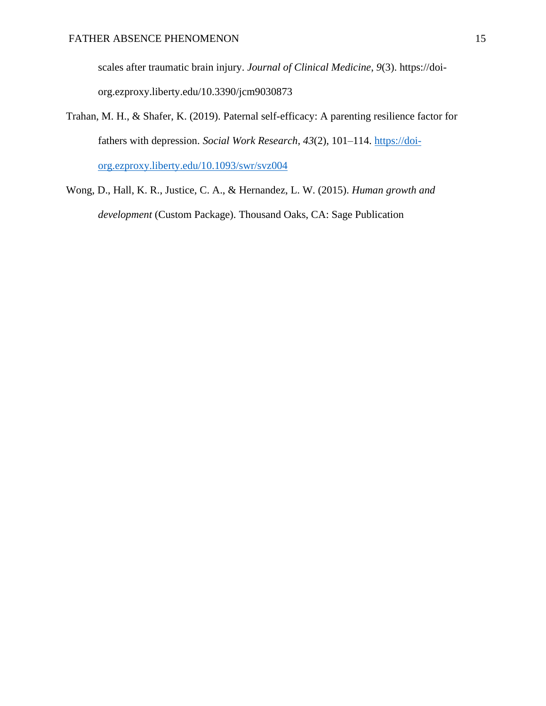scales after traumatic brain injury. *Journal of Clinical Medicine*, *9*(3). https://doiorg.ezproxy.liberty.edu/10.3390/jcm9030873

- Trahan, M. H., & Shafer, K. (2019). Paternal self-efficacy: A parenting resilience factor for fathers with depression. *Social Work Research*, *43*(2), 101–114. [https://doi](https://doi-org.ezproxy.liberty.edu/10.1093/swr/svz004)[org.ezproxy.liberty.edu/10.1093/swr/svz004](https://doi-org.ezproxy.liberty.edu/10.1093/swr/svz004)
- Wong, D., Hall, K. R., Justice, C. A., & Hernandez, L. W. (2015). *Human growth and development* (Custom Package). Thousand Oaks, CA: Sage Publication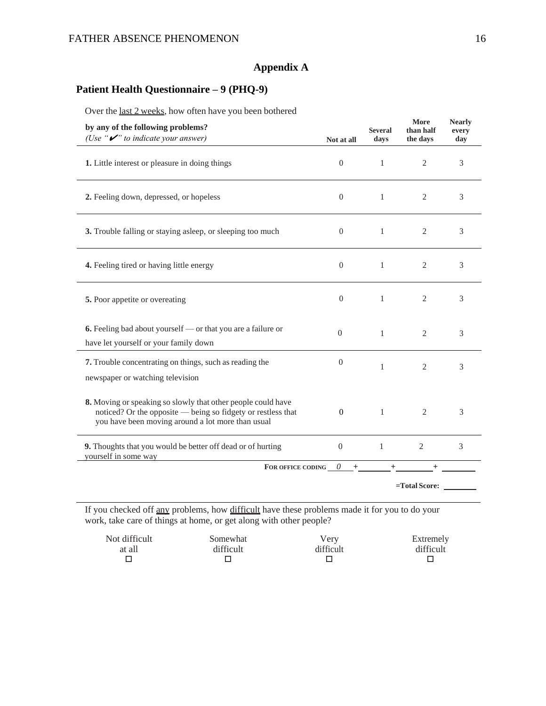# **Appendix A**

# **Patient Health Questionnaire – 9 (PHQ-9)**

Over the last 2 weeks, how often have you been bothered

| by any of the following problems?<br>(Use " $\mathcal{V}$ " to indicate your answer)                                                                                              | Not at all       | <b>Several</b><br>days | More<br>than half<br>the days | <b>Nearly</b><br>every<br>day |
|-----------------------------------------------------------------------------------------------------------------------------------------------------------------------------------|------------------|------------------------|-------------------------------|-------------------------------|
| 1. Little interest or pleasure in doing things                                                                                                                                    | $\overline{0}$   | $\mathbf{1}$           | $\overline{2}$                | 3                             |
| 2. Feeling down, depressed, or hopeless                                                                                                                                           | $\Omega$         | $\mathbf{1}$           | 2                             | 3                             |
| 3. Trouble falling or staying asleep, or sleeping too much                                                                                                                        | $\overline{0}$   | $\mathbf{1}$           | $\mathfrak{2}$                | 3                             |
| 4. Feeling tired or having little energy                                                                                                                                          | $\overline{0}$   | 1                      | $\overline{2}$                | 3                             |
| 5. Poor appetite or overeating                                                                                                                                                    | $\Omega$         | 1                      | $\overline{2}$                | 3                             |
| 6. Feeling bad about yourself — or that you are a failure or<br>have let yourself or your family down                                                                             | $\boldsymbol{0}$ | $\mathbf{1}$           | $\mathfrak{2}$                | 3                             |
| 7. Trouble concentrating on things, such as reading the<br>newspaper or watching television                                                                                       | $\overline{0}$   | $\mathbf{1}$           | $\overline{2}$                | 3                             |
| 8. Moving or speaking so slowly that other people could have<br>noticed? Or the opposite — being so fidgety or restless that<br>you have been moving around a lot more than usual | $\mathbf{0}$     | $\mathbf{1}$           | $\overline{2}$                | 3                             |
| 9. Thoughts that you would be better off dead or of hurting<br>yourself in some way                                                                                               | $\boldsymbol{0}$ | $\mathbf{1}$           | $\overline{2}$                | 3                             |
| FOR OFFICE CODING $\qquad 0$                                                                                                                                                      | $+$              |                        | $^{+}$<br>=Total Score:       |                               |

If you checked off any problems, how difficult have these problems made it for you to do your work, take care of things at home, or get along with other people?

| Not difficult | Somewhat  | Verv      | Extremely |
|---------------|-----------|-----------|-----------|
| at all        | difficult | difficult | difficult |
|               |           |           |           |